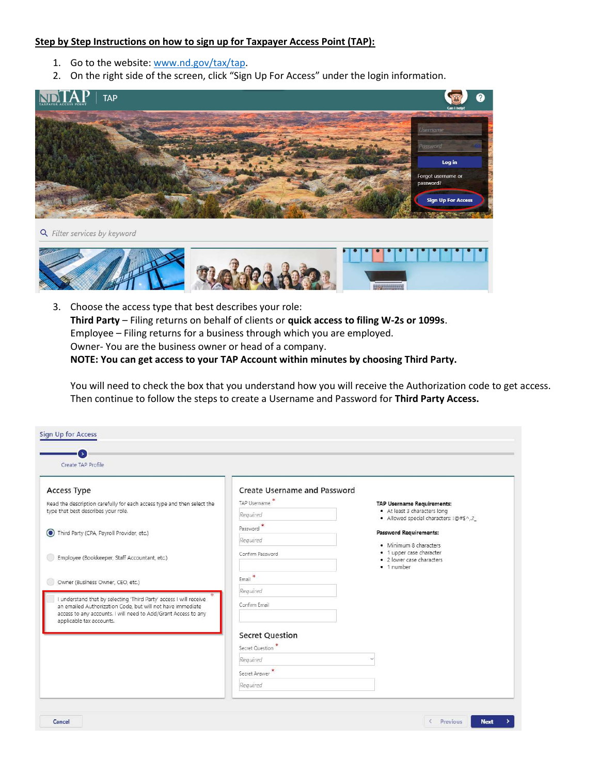## Step by Step Instructions on how to sign up for Taxpayer Access Point (TAP):

- 1. Go to the website: www.nd.gov/tax/tap.
- 2. On the right side of the screen, click "Sign Up For Access" under the login information.



Q Filter services by keyword



3. Choose the access type that best describes your role: Third Party – Filing returns on behalf of clients or quick access to filing W-2s or 1099s. Employee – Filing returns for a business through which you are employed. Owner- You are the business owner or head of a company. NOTE: You can get access to your TAP Account within minutes by choosing Third Party.

You will need to check the box that you understand how you will receive the Authorization code to get access. Then continue to follow the steps to create a Username and Password for Third Party Access.

| Create TAP Profile                                                                                                                                                                                                             |                              |                                                                     |
|--------------------------------------------------------------------------------------------------------------------------------------------------------------------------------------------------------------------------------|------------------------------|---------------------------------------------------------------------|
| Access Type                                                                                                                                                                                                                    | Create Username and Password |                                                                     |
| Read the description carefully for each access type and then select the                                                                                                                                                        | TAP Username                 | <b>TAP Username Requirements:</b><br>· At least 3 characters long   |
| type that best describes your role.                                                                                                                                                                                            | Required                     | · Allowed special characters: !@#\$^,.?_                            |
| Third Party (CPA, Payroll Provider, etc.)                                                                                                                                                                                      | Password <sup>*</sup>        | <b>Password Requirements:</b>                                       |
|                                                                                                                                                                                                                                | Required                     | · Minimum 8 characters                                              |
| Employee (Bookkeeper, Staff Accountant, etc.)                                                                                                                                                                                  | Confirm Password             | · 1 upper case character<br>· 2 lower case characters<br>· 1 number |
| Owner (Business Owner, CEO, etc.)                                                                                                                                                                                              | $Email$ *                    |                                                                     |
|                                                                                                                                                                                                                                | Required                     |                                                                     |
| I understand that by selecting 'Third Party' access I will receive<br>an emailed Authorization Code, but will not have immediate<br>access to any accounts. I will need to Add/Grant Access to any<br>applicable tax accounts. | Confirm Email                |                                                                     |
|                                                                                                                                                                                                                                | <b>Secret Question</b>       |                                                                     |
|                                                                                                                                                                                                                                | Secret Question              |                                                                     |
|                                                                                                                                                                                                                                | Required                     |                                                                     |
|                                                                                                                                                                                                                                | Secret Answer                |                                                                     |
|                                                                                                                                                                                                                                | Required                     |                                                                     |

**Next**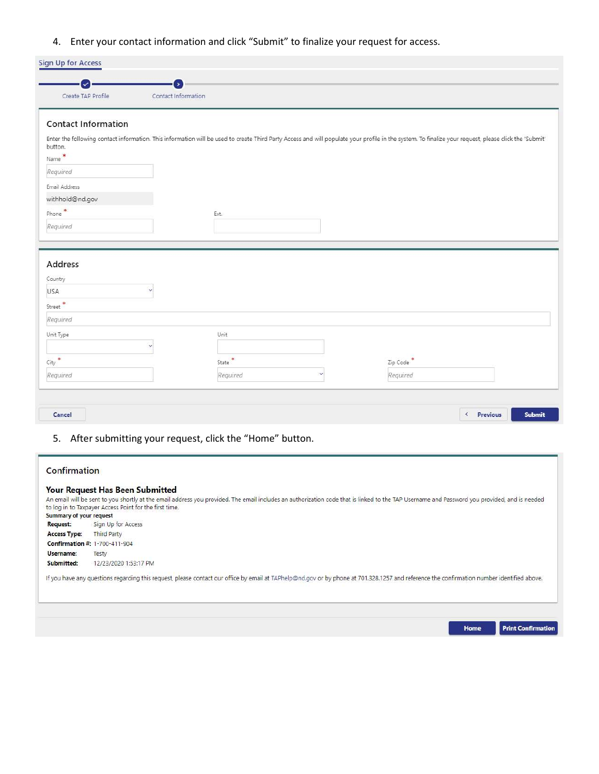4. Enter your contact information and click "Submit" to finalize your request for access.

|                                                                           | Contact Information                                                                                                                                                                                   |
|---------------------------------------------------------------------------|-------------------------------------------------------------------------------------------------------------------------------------------------------------------------------------------------------|
| <b>Contact Information</b>                                                |                                                                                                                                                                                                       |
| button.                                                                   | Enter the following contact information. This information will be used to create Third Party Access and will populate your profile in the system. To finalize your request, please click the 'Submit' |
| Name <sup>*</sup>                                                         |                                                                                                                                                                                                       |
| Required                                                                  |                                                                                                                                                                                                       |
| Email Address                                                             |                                                                                                                                                                                                       |
| withhold@nd.gov                                                           |                                                                                                                                                                                                       |
| Phone <sup>*</sup>                                                        | Ext.                                                                                                                                                                                                  |
| Required                                                                  |                                                                                                                                                                                                       |
|                                                                           |                                                                                                                                                                                                       |
|                                                                           |                                                                                                                                                                                                       |
|                                                                           |                                                                                                                                                                                                       |
|                                                                           |                                                                                                                                                                                                       |
|                                                                           |                                                                                                                                                                                                       |
|                                                                           |                                                                                                                                                                                                       |
|                                                                           |                                                                                                                                                                                                       |
|                                                                           |                                                                                                                                                                                                       |
|                                                                           | Unit                                                                                                                                                                                                  |
| Address<br>Country<br>USA<br>Street <sup>*</sup><br>Required<br>Unit Type |                                                                                                                                                                                                       |
| City <sup>*</sup>                                                         | State <sup>*</sup><br>Zip Code                                                                                                                                                                        |

5. After submitting your request, click the "Home" button.

## Confirmation

## Your Request Has Been Submitted

|                         | An email will be sent to you shortly at the email address you provided. The email includes an authorization code that is linked to the TAP Username and Password you provided, and is needed |
|-------------------------|----------------------------------------------------------------------------------------------------------------------------------------------------------------------------------------------|
|                         | to log in to Taxpayer Access Point for the first time.                                                                                                                                       |
| Summary of your request |                                                                                                                                                                                              |
| Request:                | Sign Up for Access                                                                                                                                                                           |
| <b>Access Type:</b>     | Third Party                                                                                                                                                                                  |
|                         | Confirmation #: 1-700-411-904                                                                                                                                                                |
| Username:               | Testy                                                                                                                                                                                        |
| Submitted:              | 12/23/2020 1:53:17 PM                                                                                                                                                                        |
|                         | If you have any questions regarding this request, please contact our office by email at TAPhelp@nd.gov or by phone at 701.328.1257 and reference the confirmation number identified above.   |